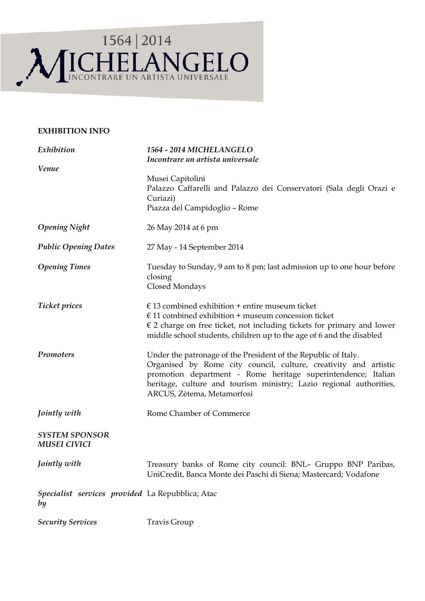

## **EXHIBITION INFO**

| Exhibition                                             | 1564 - 2014 MICHELANGELO<br>Incontrare un artista universale                                                                                                                                                                                                                                             |
|--------------------------------------------------------|----------------------------------------------------------------------------------------------------------------------------------------------------------------------------------------------------------------------------------------------------------------------------------------------------------|
| Venue                                                  | Musei Capitolini<br>Palazzo Caffarelli and Palazzo dei Conservatori (Sala degli Orazi e<br>Curiazi)<br>Piazza del Campidoglio - Rome                                                                                                                                                                     |
| <b>Opening Night</b>                                   | 26 May 2014 at 6 pm                                                                                                                                                                                                                                                                                      |
| <b>Public Opening Dates</b>                            | 27 May - 14 September 2014                                                                                                                                                                                                                                                                               |
| <b>Opening Times</b>                                   | Tuesday to Sunday, 9 am to 8 pm; last admission up to one hour before<br>closing<br>Closed Mondays                                                                                                                                                                                                       |
| <b>Ticket prices</b>                                   | $\epsilon$ 13 combined exhibition + entire museum ticket<br>$€11$ combined exhibition + museum concession ticket<br>$\epsilon$ 2 charge on free ticket, not including tickets for primary and lower<br>middle school students, children up to the age of 6 and the disabled                              |
| Promoters                                              | Under the patronage of the President of the Republic of Italy.<br>Organised by Rome city council, culture, creativity and artistic<br>promotion department - Rome heritage superintendence; Italian<br>heritage, culture and tourism ministry; Lazio regional authorities,<br>ARCUS, Zètema, Metamorfosi |
| Jointly with                                           | Rome Chamber of Commerce                                                                                                                                                                                                                                                                                 |
| <b>SYSTEM SPONSOR</b><br><b>MUSEI CIVICI</b>           |                                                                                                                                                                                                                                                                                                          |
| Jointly with                                           | Treasury banks of Rome city council: BNL- Gruppo BNP Paribas,<br>UniCredit, Banca Monte dei Paschi di Siena; Mastercard; Vodafone                                                                                                                                                                        |
| Specialist services provided La Repubblica; Atac<br>by |                                                                                                                                                                                                                                                                                                          |
| <b>Security Services</b>                               | Travis Group                                                                                                                                                                                                                                                                                             |